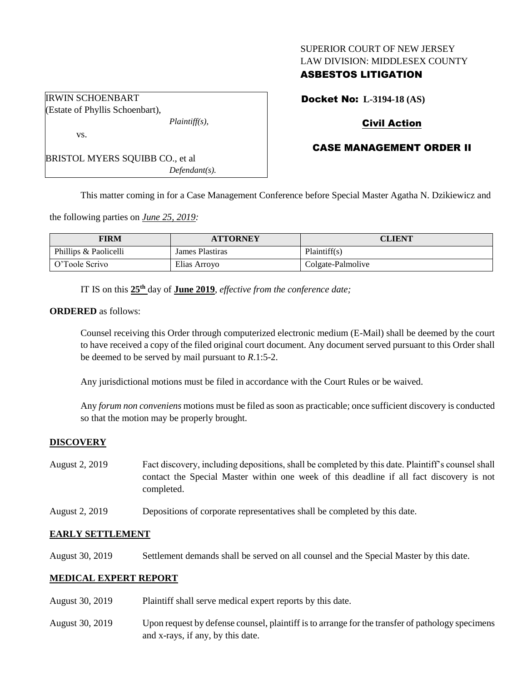#### SUPERIOR COURT OF NEW JERSEY LAW DIVISION: MIDDLESEX COUNTY

## ASBESTOS LITIGATION

Docket No: **L-3194-18 (AS)**

# Civil Action

## CASE MANAGEMENT ORDER II

BRISTOL MYERS SQUIBB CO., et al *Defendant(s).*

This matter coming in for a Case Management Conference before Special Master Agatha N. Dzikiewicz and

the following parties on *June 25, 2019:*

| FIRM                  | <b>ATTORNEY</b> | CLIENT            |
|-----------------------|-----------------|-------------------|
| Phillips & Paolicelli | James Plastiras | Plaintiff(s)      |
| O'Toole Scrivo        | Elias Arroyo    | Colgate-Palmolive |

IT IS on this **25th** day of **June 2019**, *effective from the conference date;*

*Plaintiff(s),*

#### **ORDERED** as follows:

IRWIN SCHOENBART Estate of Phyllis Schoenbart),

vs.

Counsel receiving this Order through computerized electronic medium (E-Mail) shall be deemed by the court to have received a copy of the filed original court document. Any document served pursuant to this Order shall be deemed to be served by mail pursuant to *R*.1:5-2.

Any jurisdictional motions must be filed in accordance with the Court Rules or be waived.

Any *forum non conveniens* motions must be filed as soon as practicable; once sufficient discovery is conducted so that the motion may be properly brought.

## **DISCOVERY**

| August 2, 2019 | Fact discovery, including depositions, shall be completed by this date. Plaintiff's counsel shall |  |  |
|----------------|---------------------------------------------------------------------------------------------------|--|--|
|                | contact the Special Master within one week of this deadline if all fact discovery is not          |  |  |
|                | completed.                                                                                        |  |  |

August 2, 2019 Depositions of corporate representatives shall be completed by this date.

## **EARLY SETTLEMENT**

August 30, 2019 Settlement demands shall be served on all counsel and the Special Master by this date.

## **MEDICAL EXPERT REPORT**

- August 30, 2019 Plaintiff shall serve medical expert reports by this date.
- August 30, 2019 Upon request by defense counsel, plaintiff is to arrange for the transfer of pathology specimens and x-rays, if any, by this date.